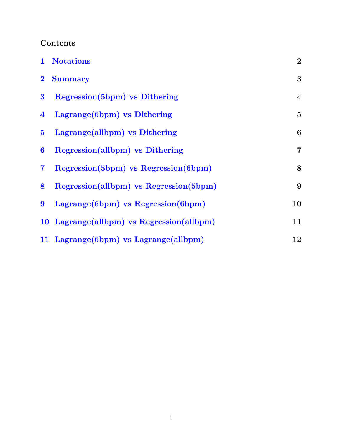### Contents

| $\mathbf{1}$            | <b>Notations</b>                          | $\overline{2}$   |
|-------------------------|-------------------------------------------|------------------|
| $\bf{2}$                | <b>Summary</b>                            | 3                |
| $\bf{3}$                | Regression (5bpm) vs Dithering            | $\overline{4}$   |
| $\overline{\mathbf{4}}$ | Lagrange (6bpm) vs Dithering              | $\overline{5}$   |
| $5\overline{)}$         | Lagrange(allbpm) vs Dithering             | $\boldsymbol{6}$ |
| 6                       | Regression(allbpm) vs Dithering           | $\overline{7}$   |
| $\overline{\mathbf{7}}$ | Regression(5bpm) vs Regression(6bpm)      | 8                |
| 8                       | Regression(allbpm) vs Regression(5bpm)    | 9                |
| 9                       | Lagrange (6bpm) vs Regression (6bpm)      | 10               |
|                         | 10 Lagrange(allbpm) vs Regression(allbpm) | 11               |
|                         | 11 Lagrange (6bpm) vs Lagrange (all bpm)  | 12               |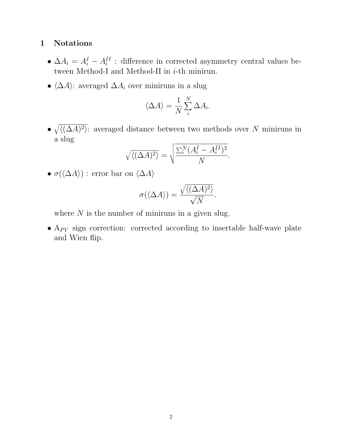#### <span id="page-1-0"></span>1 Notations

- $\Delta A_i = A_i^I A_i^{II}$ : difference in corrected asymmetry central values between Method-I and Method-II in *i*-th minirun.
- $\langle \Delta A \rangle$ : averaged  $\Delta A_i$  over miniruns in a slug

$$
\langle \Delta A \rangle = \frac{1}{N} \sum_{i}^{N} \Delta A_i.
$$

•  $\sqrt{\langle (\Delta A)^2 \rangle}$ : averaged distance between two methods over N miniruns in a slug

$$
\sqrt{\langle (\Delta A)^2 \rangle} = \sqrt{\frac{\sum_i^N (A_i^I - A_i^{II})^2}{N}}.
$$

•  $\sigma(\langle \Delta A \rangle)$ : error bar on  $\langle \Delta A \rangle$ 

$$
\sigma(\langle \Delta A \rangle) = \frac{\sqrt{\langle (\Delta A)^2 \rangle}}{\sqrt{N}}.
$$

where  $N$  is the number of miniruns in a given slug.

•  $A_{PV}$  sign correction: corrected according to insertable half-wave plate and Wien flip.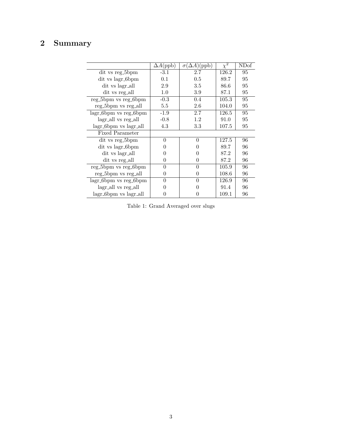# <span id="page-2-0"></span>2 Summary

|                        | $\Delta A(\mathrm{ppb})$ | $\sigma(\Delta A)$ (ppb) | $\chi^2$ | NDof |
|------------------------|--------------------------|--------------------------|----------|------|
| dit vs reg_5bpm        | $-3.1$                   | 2.7                      | 126.2    | 95   |
| dit vs lagr_6bpm       | 0.1                      | 0.5                      | 89.7     | 95   |
| dit vs lagr_all        | 2.9                      | $3.5\,$                  | 86.6     | 95   |
| dit vs reg_all         | $1.0\,$                  | 3.9                      | 87.1     | 95   |
| reg_5bpm vs reg_6bpm   | $-0.3$                   | $0.4\,$                  | 105.3    | 95   |
| reg_5bpm vs reg_all    | 5.5                      | 2.6                      | 104.0    | 95   |
| lagr_6bpm vs reg_6bpm  | $-1.9$                   | 2.7                      | 126.5    | 95   |
| lagr_all vs reg_all    | $-0.8$                   | 1.2                      | 91.0     | 95   |
| lagr_6bpm vs lagr_all  | 4.3                      | 3.3                      | 107.5    | 95   |
| <b>Fixed Parameter</b> |                          |                          |          |      |
| dit vs reg_5bpm        | 0                        | 0                        | 127.5    | 96   |
| dit vs lagr_6bpm       |                          |                          | 89.7     | 96   |
| dit vs lagr_all        |                          |                          | 87.2     | 96   |
| dit vs reg_all         | 0                        | 0                        | 87.2     | 96   |
| reg_5bpm vs reg_6bpm   | 0                        | $\Omega$                 | 105.9    | 96   |
| reg_5bpm vs reg_all    | 0                        | 0                        | 108.6    | 96   |
| lagr_6bpm vs reg_6bpm  | 0                        | 0                        | 126.9    | 96   |
| lagr_all vs reg_all    |                          |                          | 91.4     | 96   |
| lagr_6bpm vs lagr_all  |                          |                          | 109.1    | 96   |

Table 1: Grand Averaged over slugs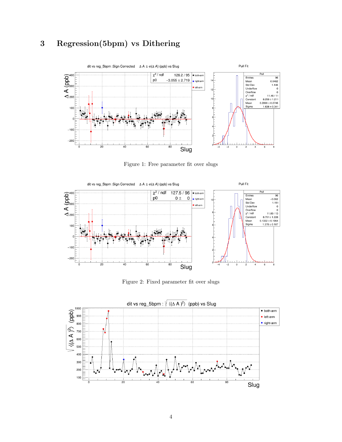## <span id="page-3-0"></span>3 Regression(5bpm) vs Dithering



Figure 1: Free parameter fit over slugs



Figure 2: Fixed parameter fit over slugs

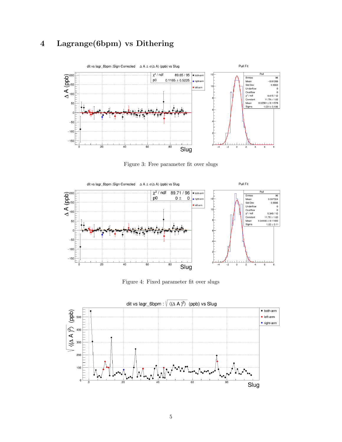

## <span id="page-4-0"></span>4 Lagrange(6bpm) vs Dithering

Figure 3: Free parameter fit over slugs



Figure 4: Fixed parameter fit over slugs

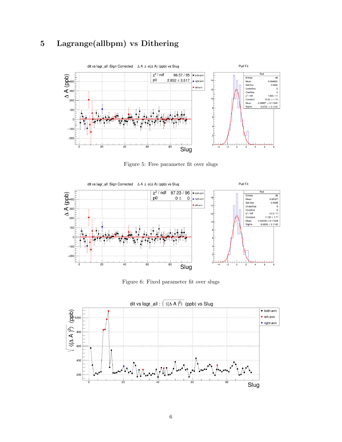

#### <span id="page-5-0"></span>5 Lagrange(allbpm) vs Dithering

Figure 5: Free parameter fit over slugs



Figure 6: Fixed parameter fit over slugs

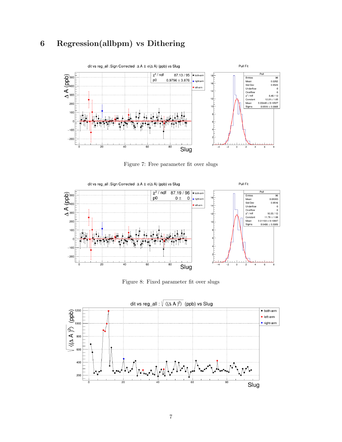

#### <span id="page-6-0"></span>6 Regression(allbpm) vs Dithering

Figure 7: Free parameter fit over slugs



Figure 8: Fixed parameter fit over slugs

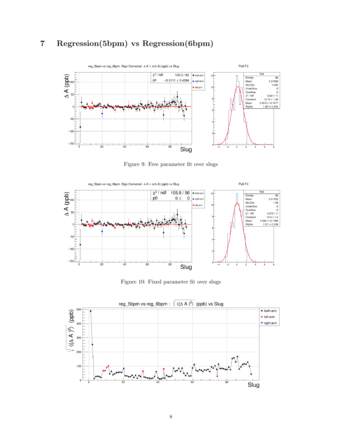## <span id="page-7-0"></span>7 Regression(5bpm) vs Regression(6bpm)



Figure 9: Free parameter fit over slugs



Figure 10: Fixed parameter fit over slugs

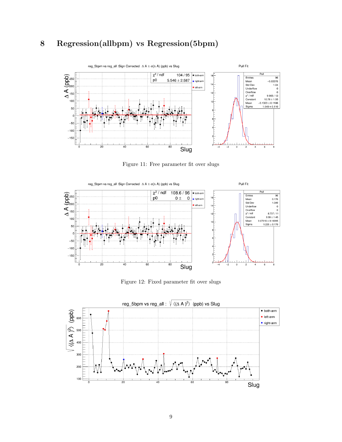#### <span id="page-8-0"></span>8 Regression(allbpm) vs Regression(5bpm)



Figure 11: Free parameter fit over slugs



Figure 12: Fixed parameter fit over slugs

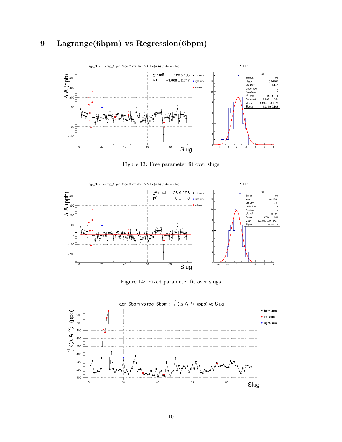

#### <span id="page-9-0"></span>9 Lagrange(6bpm) vs Regression(6bpm)

Figure 13: Free parameter fit over slugs



Figure 14: Fixed parameter fit over slugs

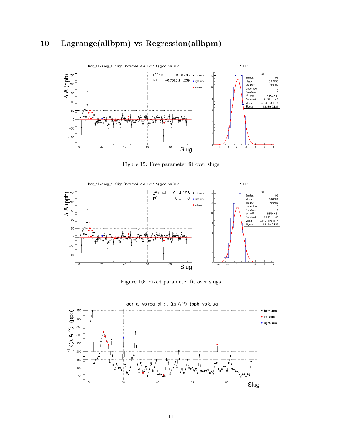#### <span id="page-10-0"></span>10 Lagrange(allbpm) vs Regression(allbpm)



Figure 15: Free parameter fit over slugs



Figure 16: Fixed parameter fit over slugs